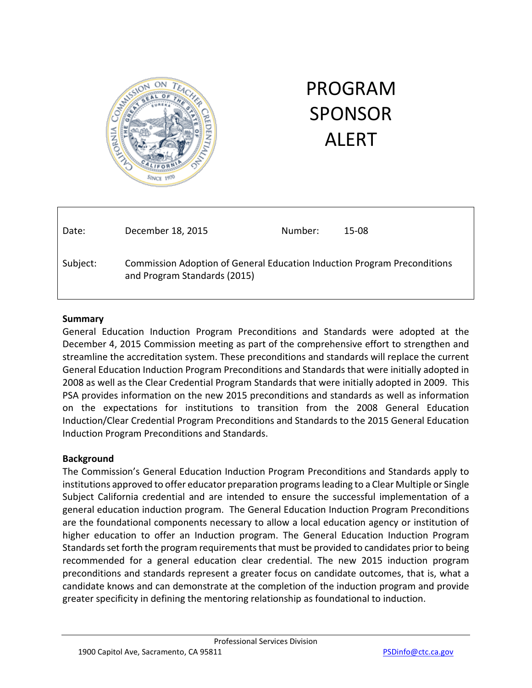

# PROGRAM SPONSOR ALERT

| Date:    | December 18, 2015                                                                                        | Number: | 15-08 |
|----------|----------------------------------------------------------------------------------------------------------|---------|-------|
| Subject: | Commission Adoption of General Education Induction Program Preconditions<br>and Program Standards (2015) |         |       |

#### **Summary**

 PSA provides information on the new 2015 preconditions and standards as well as information Induction/Clear Credential Program Preconditions and Standards to the 2015 General Education General Education Induction Program Preconditions and Standards were adopted at the December 4, 2015 Commission meeting as part of the comprehensive effort to strengthen and streamline the accreditation system. These preconditions and standards will replace the current General Education Induction Program Preconditions and Standards that were initially adopted in 2008 as well as the Clear Credential Program Standards that were initially adopted in 2009. This on the expectations for institutions to transition from the 2008 General Education Induction Program Preconditions and Standards.

#### **Background**

 Standards set forth the program requirements that must be provided to candidates prior to being recommended for a general education clear credential. The new 2015 induction program The Commission's General Education Induction Program Preconditions and Standards apply to institutions approved to offer educator preparation programs leading to a Clear Multiple or Single Subject California credential and are intended to ensure the successful implementation of a general education induction program. The General Education Induction Program Preconditions are the foundational components necessary to allow a local education agency or institution of higher education to offer an Induction program. The General Education Induction Program preconditions and standards represent a greater focus on candidate outcomes, that is, what a candidate knows and can demonstrate at the completion of the induction program and provide greater specificity in defining the mentoring relationship as foundational to induction.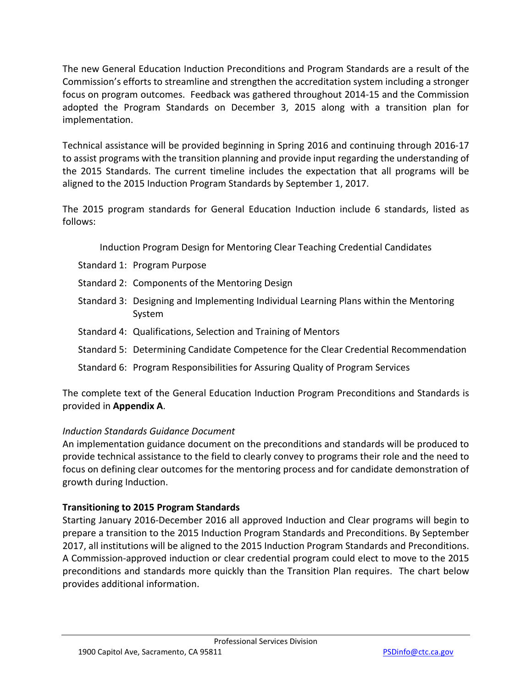Commission's efforts to streamline and strengthen the accreditation system including a stronger implementation. The new General Education Induction Preconditions and Program Standards are a result of the focus on program outcomes. Feedback was gathered throughout 2014-15 and the Commission adopted the Program Standards on December 3, 2015 along with a transition plan for

 to assist programs with the transition planning and provide input regarding the understanding of the 2015 Standards. The current timeline includes the expectation that all programs will be aligned to the 2015 Induction Program Standards by September 1, 2017. Technical assistance will be provided beginning in Spring 2016 and continuing through 2016-17

 The 2015 program standards for General Education Induction include 6 standards, listed as follows:

Induction Program Design for Mentoring Clear Teaching Credential Candidates

- Standard 1: Program Purpose
- Standard 2: Components of the Mentoring Design
- Standard 3: Designing and Implementing Individual Learning Plans within the Mentoring System
- Standard 4: Qualifications, Selection and Training of Mentors
- Standard 5: Determining Candidate Competence for the Clear Credential Recommendation
- Standard 6: Program Responsibilities for Assuring Quality of Program Services

The complete text of the General Education Induction Program Preconditions and Standards is provided in **Appendix A**.

# *Induction Standards Guidance Document*

 provide technical assistance to the field to clearly convey to programs their role and the need to growth during Induction. An implementation guidance document on the preconditions and standards will be produced to focus on defining clear outcomes for the mentoring process and for candidate demonstration of

# **Transitioning to 2015 Program Standards**

 prepare a transition to the 2015 Induction Program Standards and Preconditions. By September 2017, all institutions will be aligned to the 2015 Induction Program Standards and Preconditions. A Commission-approved induction or clear credential program could elect to move to the 2015 preconditions and standards more quickly than the Transition Plan requires. The chart below Starting January 2016-December 2016 all approved Induction and Clear programs will begin to provides additional information.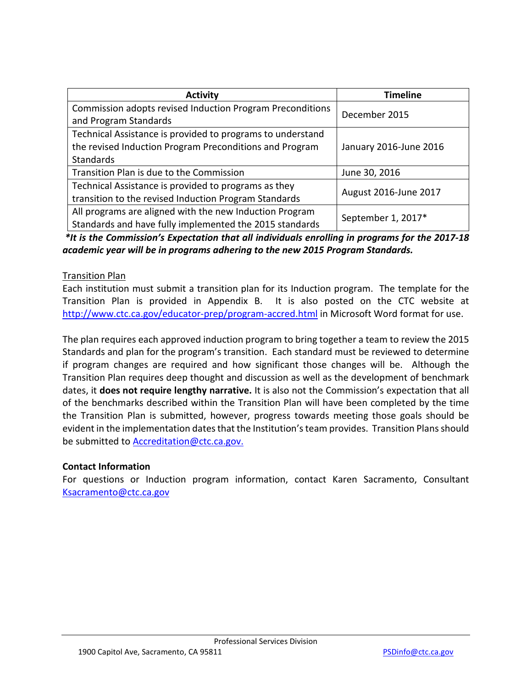| <b>Activity</b>                                                                    | <b>Timeline</b>        |  |  |
|------------------------------------------------------------------------------------|------------------------|--|--|
| Commission adopts revised Induction Program Preconditions<br>and Program Standards | December 2015          |  |  |
| Technical Assistance is provided to programs to understand                         |                        |  |  |
| the revised Induction Program Preconditions and Program                            | January 2016-June 2016 |  |  |
| <b>Standards</b>                                                                   |                        |  |  |
| Transition Plan is due to the Commission                                           | June 30, 2016          |  |  |
| Technical Assistance is provided to programs as they                               | August 2016-June 2017  |  |  |
| transition to the revised Induction Program Standards                              |                        |  |  |
| All programs are aligned with the new Induction Program                            | September 1, 2017*     |  |  |
| Standards and have fully implemented the 2015 standards                            |                        |  |  |

 *\*It is the Commission's Expectation that all individuals enrolling in programs for the 2017-18 academic year will be in programs adhering to the new 2015 Program Standards.* 

#### Transition Plan

 Each institution must submit a transition plan for its Induction program. The template for the Transition Plan is provided in Appendix B. It is also posted on the CTC website at <http://www.ctc.ca.gov/educator-prep/program-accred.html> in Microsoft Word format for use.

 The plan requires each approved induction program to bring together a team to review the 2015 Standards and plan for the program's transition. Each standard must be reviewed to determine if program changes are required and how significant those changes will be. Although the  dates, it **does not require lengthy narrative.** It is also not the Commission's expectation that all of the benchmarks described within the Transition Plan will have been completed by the time Transition Plan requires deep thought and discussion as well as the development of benchmark the Transition Plan is submitted, however, progress towards meeting those goals should be evident in the implementation dates that the Institution's team provides. Transition Plans should be submitted t[o Accreditation@ctc.ca.gov.](mailto:Accreditation@ctc.ca.gov)

#### **Contact Information**

For questions or Induction program information, contact Karen Sacramento, Consultant [Ksacramento@ctc.ca.gov](mailto:Ksacramento@ctc.ca.gov)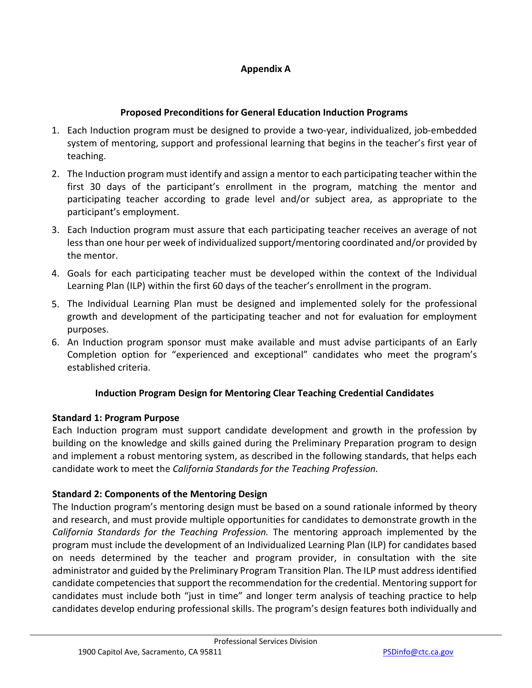# **Appendix A**

#### **Proposed Preconditions for General Education Induction Programs**

- 1. Each Induction program must be designed to provide a two-year, individualized, job-embedded system of mentoring, support and professional learning that begins in the teacher's first year of teaching.
- first 30 days of the participant's enrollment in the program, matching the mentor and participating teacher according to grade level and/or subject area, as appropriate to the 2. The Induction program must identify and assign a mentor to each participating teacher within the participant's employment.
- less than one hour per week of individualized support/mentoring coordinated and/or provided by 3. Each Induction program must assure that each participating teacher receives an average of not the mentor.
- 4. Goals for each participating teacher must be developed within the context of the Individual Learning Plan (ILP) within the first 60 days of the teacher's enrollment in the program.
- 5. The Individual Learning Plan must be designed and implemented solely for the professional growth and development of the participating teacher and not for evaluation for employment purposes.
- 6. An Induction program sponsor must make available and must advise participants of an Early Completion option for "experienced and exceptional" candidates who meet the program's established criteria.

# **Induction Program Design for Mentoring Clear Teaching Credential Candidates**

#### **Standard 1: Program Purpose**

 building on the knowledge and skills gained during the Preliminary Preparation program to design Each Induction program must support candidate development and growth in the profession by and implement a robust mentoring system, as described in the following standards, that helps each candidate work to meet the *California Standards for the Teaching Profession.* 

# **Standard 2: Components of the Mentoring Design**

 The Induction program's mentoring design must be based on a sound rationale informed by theory program must include the development of an Individualized Learning Plan (ILP) for candidates based administrator and guided by the Preliminary Program Transition Plan. The ILP must address identified candidates must include both "just in time" and longer term analysis of teaching practice to help and research, and must provide multiple opportunities for candidates to demonstrate growth in the *California Standards for the Teaching Profession.* The mentoring approach implemented by the on needs determined by the teacher and program provider, in consultation with the site candidate competencies that support the recommendation for the credential. Mentoring support for candidates develop enduring professional skills. The program's design features both individually and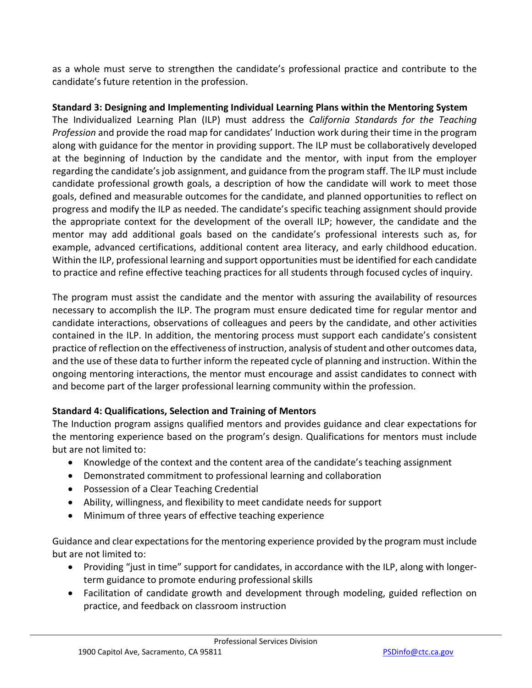as a whole must serve to strengthen the candidate's professional practice and contribute to the candidate's future retention in the profession.

# **Standard 3: Designing and Implementing Individual Learning Plans within the Mentoring System**

 The Individualized Learning Plan (ILP) must address the *California Standards for the Teaching Profession* and provide the road map for candidates' Induction work during their time in the program along with guidance for the mentor in providing support. The ILP must be collaboratively developed at the beginning of Induction by the candidate and the mentor, with input from the employer goals, defined and measurable outcomes for the candidate, and planned opportunities to reflect on the appropriate context for the development of the overall ILP; however, the candidate and the mentor may add additional goals based on the candidate's professional interests such as, for example, advanced certifications, additional content area literacy, and early childhood education. to practice and refine effective teaching practices for all students through focused cycles of inquiry. regarding the candidate's job assignment, and guidance from the program staff. The ILP must include candidate professional growth goals, a description of how the candidate will work to meet those progress and modify the ILP as needed. The candidate's specific teaching assignment should provide Within the ILP, professional learning and support opportunities must be identified for each candidate

 The program must assist the candidate and the mentor with assuring the availability of resources necessary to accomplish the ILP. The program must ensure dedicated time for regular mentor and candidate interactions, observations of colleagues and peers by the candidate, and other activities contained in the ILP. In addition, the mentoring process must support each candidate's consistent practice of reflection on the effectiveness of instruction, analysis of student and other outcomes data, and the use of these data to further inform the repeated cycle of planning and instruction. Within the ongoing mentoring interactions, the mentor must encourage and assist candidates to connect with and become part of the larger professional learning community within the profession.

# **Standard 4: Qualifications, Selection and Training of Mentors**

 The Induction program assigns qualified mentors and provides guidance and clear expectations for the mentoring experience based on the program's design. Qualifications for mentors must include but are not limited to:

- Knowledge of the context and the content area of the candidate's teaching assignment
- Demonstrated commitment to professional learning and collaboration
- Possession of a Clear Teaching Credential
- Ability, willingness, and flexibility to meet candidate needs for support
- Minimum of three years of effective teaching experience

Guidance and clear expectations for the mentoring experience provided by the program must include but are not limited to:

- term guidance to promote enduring professional skills • Providing "just in time" support for candidates, in accordance with the ILP, along with longer-
- Facilitation of candidate growth and development through modeling, guided reflection on practice, and feedback on classroom instruction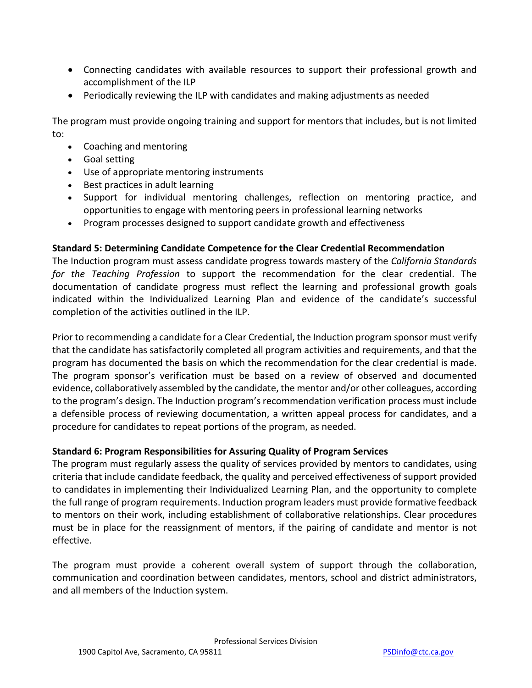- Connecting candidates with available resources to support their professional growth and accomplishment of the ILP
- Periodically reviewing the ILP with candidates and making adjustments as needed

 The program must provide ongoing training and support for mentors that includes, but is not limited to:

- Coaching and mentoring
- Goal setting
- Use of appropriate mentoring instruments
- Best practices in adult learning
- • Support for individual mentoring challenges, reflection on mentoring practice, and opportunities to engage with mentoring peers in professional learning networks
- Program processes designed to support candidate growth and effectiveness

# **Standard 5: Determining Candidate Competence for the Clear Credential Recommendation**

 *for the Teaching Profession* to support the recommendation for the clear credential. The The Induction program must assess candidate progress towards mastery of the *California Standards*  documentation of candidate progress must reflect the learning and professional growth goals indicated within the Individualized Learning Plan and evidence of the candidate's successful completion of the activities outlined in the ILP.

 program has documented the basis on which the recommendation for the clear credential is made. to the program's design. The Induction program's recommendation verification process must include a defensible process of reviewing documentation, a written appeal process for candidates, and a Prior to recommending a candidate for a Clear Credential, the Induction program sponsor must verify that the candidate has satisfactorily completed all program activities and requirements, and that the The program sponsor's verification must be based on a review of observed and documented evidence, collaboratively assembled by the candidate, the mentor and/or other colleagues, according procedure for candidates to repeat portions of the program, as needed.

# **Standard 6: Program Responsibilities for Assuring Quality of Program Services**

 to candidates in implementing their Individualized Learning Plan, and the opportunity to complete to mentors on their work, including establishment of collaborative relationships. Clear procedures must be in place for the reassignment of mentors, if the pairing of candidate and mentor is not The program must regularly assess the quality of services provided by mentors to candidates, using criteria that include candidate feedback, the quality and perceived effectiveness of support provided the full range of program requirements. Induction program leaders must provide formative feedback effective.

The program must provide a coherent overall system of support through the collaboration, communication and coordination between candidates, mentors, school and district administrators, and all members of the Induction system.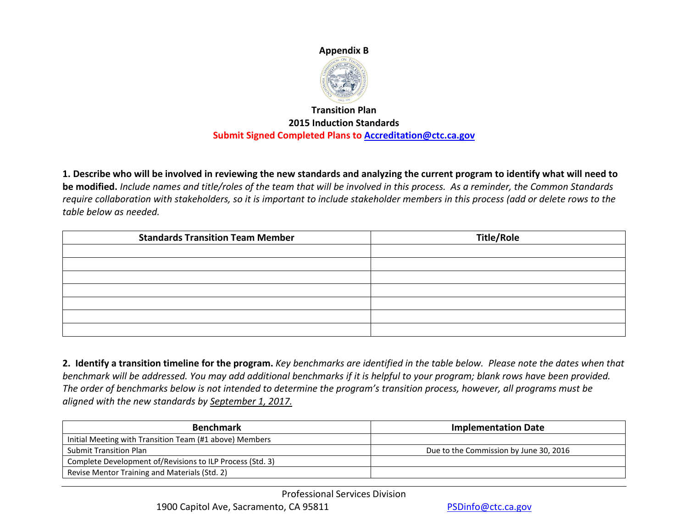# **Appendix B**



# **Submit Signed Completed Plans to [Accreditation@ctc.ca.gov](mailto:Accreditation@ctc.ca.gov)  Transition Plan 2015 Induction Standards**

 **1. Describe who will be involved in reviewing the new standards and analyzing the current program to identify what will need to**   *require collaboration with stakeholders, so it is important to include stakeholder members in this process (add or delete rows to the*  **be modified.** *Include names and title/roles of the team that will be involved in this process. As a reminder, the Common Standards table below as needed.* 

| <b>Standards Transition Team Member</b> | <b>Title/Role</b> |
|-----------------------------------------|-------------------|
|                                         |                   |
|                                         |                   |
|                                         |                   |
|                                         |                   |
|                                         |                   |
|                                         |                   |
|                                         |                   |

 **2. Identify a transition timeline for the program.** *Key benchmarks are identified in the table below. Please note the dates when that*  benchmark will be addressed. You may add additional benchmarks if it is helpful to your program; blank rows have been provided.<br>The order of benchmarks below is not intended to determine the program's transition process, h *aligned with the new standards by September 1, 2017.* 

| <b>Benchmark</b>                                          | <b>Implementation Date</b>             |
|-----------------------------------------------------------|----------------------------------------|
| Initial Meeting with Transition Team (#1 above) Members   |                                        |
| <b>Submit Transition Plan</b>                             | Due to the Commission by June 30, 2016 |
| Complete Development of/Revisions to ILP Process (Std. 3) |                                        |
| Revise Mentor Training and Materials (Std. 2)             |                                        |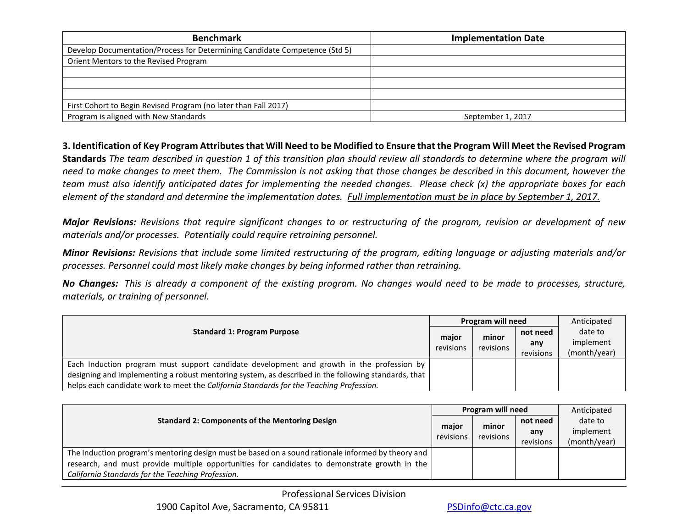| <b>Benchmark</b>                                                           | <b>Implementation Date</b> |
|----------------------------------------------------------------------------|----------------------------|
| Develop Documentation/Process for Determining Candidate Competence (Std 5) |                            |
| Orient Mentors to the Revised Program                                      |                            |
|                                                                            |                            |
|                                                                            |                            |
|                                                                            |                            |
| First Cohort to Begin Revised Program (no later than Fall 2017)            |                            |
| Program is aligned with New Standards                                      | September 1, 2017          |

#### **3. Identification of Key Program Attributes that Will Need to be Modified to Ensure that the Program Will Meet the Revised Program**

**Standards** *The team described in question 1 of this transition plan should review all standards to determine where the program will need to make changes to meet them. The Commission is not asking that those changes be described in this document, however the team must also identify anticipated dates for implementing the needed changes. Please check (x) the appropriate boxes for each element of the standard and determine the implementation dates. Full implementation must be in place by September 1, 2017.* 

 *materials and/or processes. Potentially could require retraining personnel. Major Revisions: Revisions that require significant changes to or restructuring of the program, revision or development of new* 

*Minor Revisions: Revisions that include some limited restructuring of the program, editing language or adjusting materials and/or processes. Personnel could most likely make changes by being informed rather than retraining.* 

*No Changes: This is already a component of the existing program. No changes would need to be made to processes, structure, materials, or training of personnel.* 

| <b>Standard 1: Program Purpose</b>                                                                  | Program will need | Anticipated |                  |                      |
|-----------------------------------------------------------------------------------------------------|-------------------|-------------|------------------|----------------------|
|                                                                                                     | major             | minor       | not need         | date to<br>implement |
|                                                                                                     | revisions         | revisions   | any<br>revisions | (month/year)         |
| Each Induction program must support candidate development and growth in the profession by           |                   |             |                  |                      |
| designing and implementing a robust mentoring system, as described in the following standards, that |                   |             |                  |                      |
| helps each candidate work to meet the California Standards for the Teaching Profession.             |                   |             |                  |                      |

| <b>Standard 2: Components of the Mentoring Design</b>                                              | Program will need |           |           | Anticipated  |
|----------------------------------------------------------------------------------------------------|-------------------|-----------|-----------|--------------|
|                                                                                                    | major             | minor     | not need  | date to      |
|                                                                                                    | revisions         | revisions | any       | implement    |
|                                                                                                    |                   |           | revisions | (month/year) |
| The Induction program's mentoring design must be based on a sound rationale informed by theory and |                   |           |           |              |
| research, and must provide multiple opportunities for candidates to demonstrate growth in the      |                   |           |           |              |
| California Standards for the Teaching Profession.                                                  |                   |           |           |              |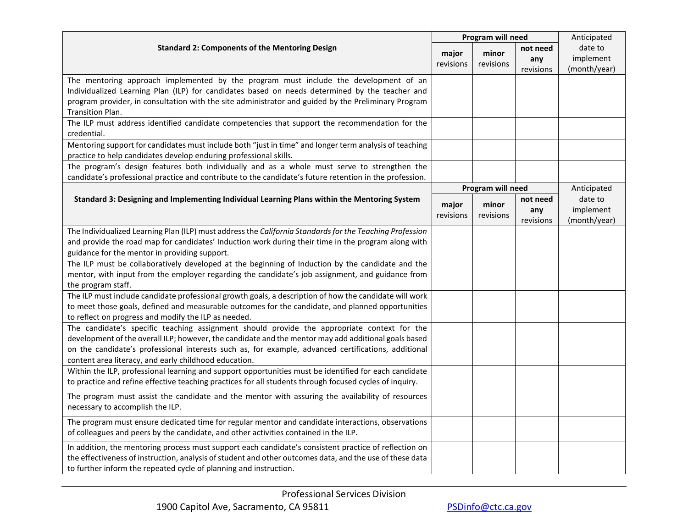|                                                                                                                                                                                                     |                    | Program will need  | Anticipated     |                      |
|-----------------------------------------------------------------------------------------------------------------------------------------------------------------------------------------------------|--------------------|--------------------|-----------------|----------------------|
| <b>Standard 2: Components of the Mentoring Design</b>                                                                                                                                               | major<br>revisions | minor<br>revisions | not need<br>any | date to<br>implement |
|                                                                                                                                                                                                     |                    |                    | revisions       | (month/year)         |
| The mentoring approach implemented by the program must include the development of an                                                                                                                |                    |                    |                 |                      |
| Individualized Learning Plan (ILP) for candidates based on needs determined by the teacher and                                                                                                      |                    |                    |                 |                      |
| program provider, in consultation with the site administrator and guided by the Preliminary Program                                                                                                 |                    |                    |                 |                      |
| <b>Transition Plan.</b>                                                                                                                                                                             |                    |                    |                 |                      |
| The ILP must address identified candidate competencies that support the recommendation for the<br>credential.                                                                                       |                    |                    |                 |                      |
| Mentoring support for candidates must include both "just in time" and longer term analysis of teaching                                                                                              |                    |                    |                 |                      |
| practice to help candidates develop enduring professional skills.                                                                                                                                   |                    |                    |                 |                      |
| The program's design features both individually and as a whole must serve to strengthen the                                                                                                         |                    |                    |                 |                      |
| candidate's professional practice and contribute to the candidate's future retention in the profession.                                                                                             |                    |                    |                 |                      |
|                                                                                                                                                                                                     |                    | Program will need  |                 | Anticipated          |
| Standard 3: Designing and Implementing Individual Learning Plans within the Mentoring System                                                                                                        | major              | minor              | not need        | date to              |
|                                                                                                                                                                                                     | revisions          | revisions          | any             | implement            |
|                                                                                                                                                                                                     |                    |                    | revisions       | (month/year)         |
| The Individualized Learning Plan (ILP) must address the California Standards for the Teaching Profession                                                                                            |                    |                    |                 |                      |
| and provide the road map for candidates' Induction work during their time in the program along with                                                                                                 |                    |                    |                 |                      |
| guidance for the mentor in providing support.                                                                                                                                                       |                    |                    |                 |                      |
| The ILP must be collaboratively developed at the beginning of Induction by the candidate and the                                                                                                    |                    |                    |                 |                      |
| mentor, with input from the employer regarding the candidate's job assignment, and guidance from                                                                                                    |                    |                    |                 |                      |
| the program staff.                                                                                                                                                                                  |                    |                    |                 |                      |
| The ILP must include candidate professional growth goals, a description of how the candidate will work                                                                                              |                    |                    |                 |                      |
| to meet those goals, defined and measurable outcomes for the candidate, and planned opportunities                                                                                                   |                    |                    |                 |                      |
| to reflect on progress and modify the ILP as needed.                                                                                                                                                |                    |                    |                 |                      |
| The candidate's specific teaching assignment should provide the appropriate context for the<br>development of the overall ILP; however, the candidate and the mentor may add additional goals based |                    |                    |                 |                      |
| on the candidate's professional interests such as, for example, advanced certifications, additional                                                                                                 |                    |                    |                 |                      |
| content area literacy, and early childhood education.                                                                                                                                               |                    |                    |                 |                      |
| Within the ILP, professional learning and support opportunities must be identified for each candidate                                                                                               |                    |                    |                 |                      |
| to practice and refine effective teaching practices for all students through focused cycles of inquiry.                                                                                             |                    |                    |                 |                      |
| The program must assist the candidate and the mentor with assuring the availability of resources                                                                                                    |                    |                    |                 |                      |
| necessary to accomplish the ILP.                                                                                                                                                                    |                    |                    |                 |                      |
| The program must ensure dedicated time for regular mentor and candidate interactions, observations                                                                                                  |                    |                    |                 |                      |
| of colleagues and peers by the candidate, and other activities contained in the ILP.                                                                                                                |                    |                    |                 |                      |
| In addition, the mentoring process must support each candidate's consistent practice of reflection on                                                                                               |                    |                    |                 |                      |
| the effectiveness of instruction, analysis of student and other outcomes data, and the use of these data                                                                                            |                    |                    |                 |                      |
| to further inform the repeated cycle of planning and instruction.                                                                                                                                   |                    |                    |                 |                      |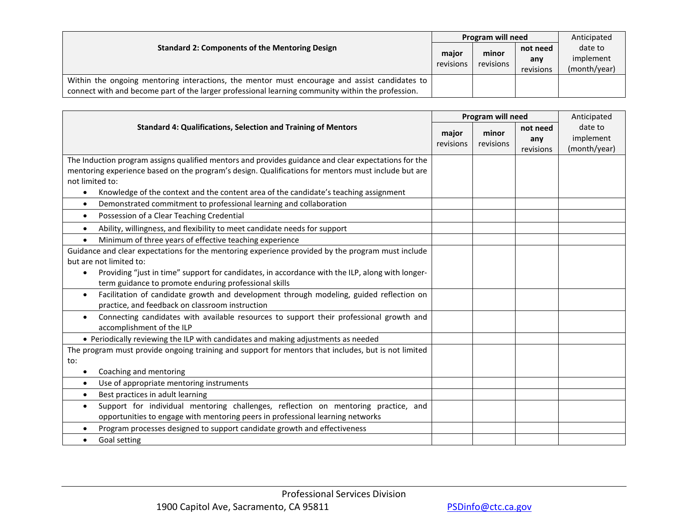| <b>Standard 2: Components of the Mentoring Design</b>                                             |                    | Program will need  |           | Anticipated  |
|---------------------------------------------------------------------------------------------------|--------------------|--------------------|-----------|--------------|
|                                                                                                   | major<br>revisions | minor<br>revisions | not need  | date to      |
|                                                                                                   |                    |                    | any       | implement    |
|                                                                                                   |                    |                    | revisions | (month/year) |
| Within the ongoing mentoring interactions, the mentor must encourage and assist candidates to     |                    |                    |           |              |
| connect with and become part of the larger professional learning community within the profession. |                    |                    |           |              |

|                                                                                                                                                                                   |                    | Program will need  |                              |                                      |  |
|-----------------------------------------------------------------------------------------------------------------------------------------------------------------------------------|--------------------|--------------------|------------------------------|--------------------------------------|--|
| <b>Standard 4: Qualifications, Selection and Training of Mentors</b>                                                                                                              | major<br>revisions | minor<br>revisions | not need<br>any<br>revisions | date to<br>implement<br>(month/year) |  |
| The Induction program assigns qualified mentors and provides guidance and clear expectations for the                                                                              |                    |                    |                              |                                      |  |
| mentoring experience based on the program's design. Qualifications for mentors must include but are<br>not limited to:                                                            |                    |                    |                              |                                      |  |
| Knowledge of the context and the content area of the candidate's teaching assignment<br>$\bullet$                                                                                 |                    |                    |                              |                                      |  |
| Demonstrated commitment to professional learning and collaboration<br>$\bullet$                                                                                                   |                    |                    |                              |                                      |  |
| Possession of a Clear Teaching Credential<br>$\bullet$                                                                                                                            |                    |                    |                              |                                      |  |
| Ability, willingness, and flexibility to meet candidate needs for support<br>$\bullet$                                                                                            |                    |                    |                              |                                      |  |
| Minimum of three years of effective teaching experience                                                                                                                           |                    |                    |                              |                                      |  |
| Guidance and clear expectations for the mentoring experience provided by the program must include                                                                                 |                    |                    |                              |                                      |  |
| but are not limited to:                                                                                                                                                           |                    |                    |                              |                                      |  |
| Providing "just in time" support for candidates, in accordance with the ILP, along with longer-<br>$\bullet$<br>term guidance to promote enduring professional skills             |                    |                    |                              |                                      |  |
| Facilitation of candidate growth and development through modeling, guided reflection on<br>$\bullet$<br>practice, and feedback on classroom instruction                           |                    |                    |                              |                                      |  |
| Connecting candidates with available resources to support their professional growth and<br>$\bullet$<br>accomplishment of the ILP                                                 |                    |                    |                              |                                      |  |
| • Periodically reviewing the ILP with candidates and making adjustments as needed                                                                                                 |                    |                    |                              |                                      |  |
| The program must provide ongoing training and support for mentors that includes, but is not limited                                                                               |                    |                    |                              |                                      |  |
| to:                                                                                                                                                                               |                    |                    |                              |                                      |  |
| Coaching and mentoring                                                                                                                                                            |                    |                    |                              |                                      |  |
| Use of appropriate mentoring instruments<br>$\bullet$                                                                                                                             |                    |                    |                              |                                      |  |
| Best practices in adult learning<br>$\bullet$                                                                                                                                     |                    |                    |                              |                                      |  |
| Support for individual mentoring challenges, reflection on mentoring practice, and<br>$\bullet$<br>opportunities to engage with mentoring peers in professional learning networks |                    |                    |                              |                                      |  |
| Program processes designed to support candidate growth and effectiveness                                                                                                          |                    |                    |                              |                                      |  |
| Goal setting<br>$\bullet$                                                                                                                                                         |                    |                    |                              |                                      |  |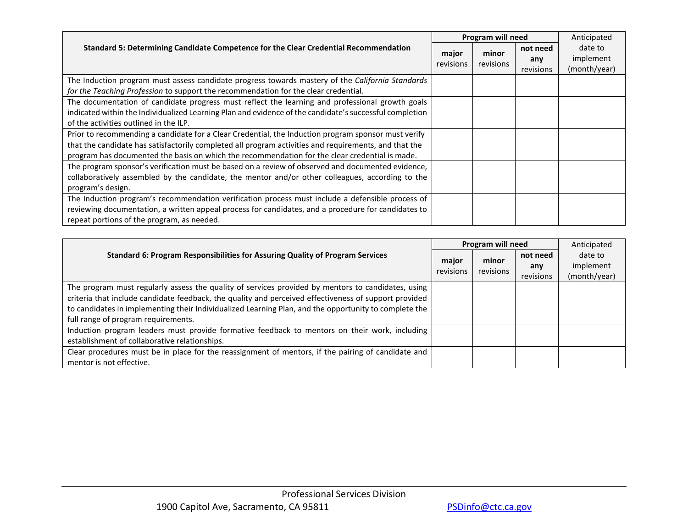|                                                                                                         |                    | Program will need | Anticipated |              |
|---------------------------------------------------------------------------------------------------------|--------------------|-------------------|-------------|--------------|
| Standard 5: Determining Candidate Competence for the Clear Credential Recommendation                    |                    | minor             | not need    | date to      |
|                                                                                                         | major<br>revisions | revisions         | any         | implement    |
|                                                                                                         |                    |                   | revisions   | (month/year) |
| The Induction program must assess candidate progress towards mastery of the California Standards        |                    |                   |             |              |
| for the Teaching Profession to support the recommendation for the clear credential.                     |                    |                   |             |              |
| The documentation of candidate progress must reflect the learning and professional growth goals         |                    |                   |             |              |
| indicated within the Individualized Learning Plan and evidence of the candidate's successful completion |                    |                   |             |              |
| of the activities outlined in the ILP.                                                                  |                    |                   |             |              |
| Prior to recommending a candidate for a Clear Credential, the Induction program sponsor must verify     |                    |                   |             |              |
| that the candidate has satisfactorily completed all program activities and requirements, and that the   |                    |                   |             |              |
| program has documented the basis on which the recommendation for the clear credential is made.          |                    |                   |             |              |
| The program sponsor's verification must be based on a review of observed and documented evidence,       |                    |                   |             |              |
| collaboratively assembled by the candidate, the mentor and/or other colleagues, according to the        |                    |                   |             |              |
| program's design.                                                                                       |                    |                   |             |              |
| The Induction program's recommendation verification process must include a defensible process of        |                    |                   |             |              |
| reviewing documentation, a written appeal process for candidates, and a procedure for candidates to     |                    |                   |             |              |
| repeat portions of the program, as needed.                                                              |                    |                   |             |              |

|                                                                                                       |                                          | Program will need | Anticipated |              |
|-------------------------------------------------------------------------------------------------------|------------------------------------------|-------------------|-------------|--------------|
| Standard 6: Program Responsibilities for Assuring Quality of Program Services                         | minor<br>major<br>revisions<br>revisions |                   | not need    | date to      |
|                                                                                                       |                                          |                   | any         | implement    |
|                                                                                                       |                                          |                   | revisions   | (month/year) |
| The program must regularly assess the quality of services provided by mentors to candidates, using    |                                          |                   |             |              |
| criteria that include candidate feedback, the quality and perceived effectiveness of support provided |                                          |                   |             |              |
| to candidates in implementing their Individualized Learning Plan, and the opportunity to complete the |                                          |                   |             |              |
| full range of program requirements.                                                                   |                                          |                   |             |              |
| Induction program leaders must provide formative feedback to mentors on their work, including         |                                          |                   |             |              |
| establishment of collaborative relationships.                                                         |                                          |                   |             |              |
| Clear procedures must be in place for the reassignment of mentors, if the pairing of candidate and    |                                          |                   |             |              |
| mentor is not effective.                                                                              |                                          |                   |             |              |